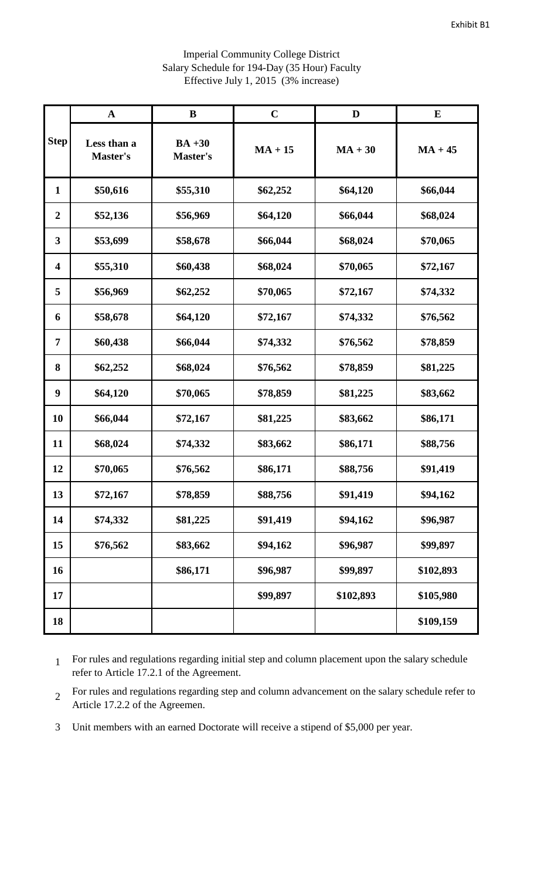|                         | $\mathbf A$             | $\bf{B}$                    | $\mathbf C$ | D         | ${\bf E}$ |
|-------------------------|-------------------------|-----------------------------|-------------|-----------|-----------|
| Step                    | Less than a<br>Master's | $BA +30$<br><b>Master's</b> | $MA + 15$   | $MA + 30$ | $MA + 45$ |
| $\mathbf{1}$            | \$50,616                | \$55,310                    | \$62,252    | \$64,120  | \$66,044  |
| $\boldsymbol{2}$        | \$52,136                | \$56,969                    | \$64,120    | \$66,044  | \$68,024  |
| $\mathbf{3}$            | \$53,699                | \$58,678                    | \$66,044    | \$68,024  | \$70,065  |
| $\overline{\mathbf{4}}$ | \$55,310                | \$60,438                    | \$68,024    | \$70,065  | \$72,167  |
| 5                       | \$56,969                | \$62,252                    | \$70,065    | \$72,167  | \$74,332  |
| 6                       | \$58,678                | \$64,120                    | \$72,167    | \$74,332  | \$76,562  |
| 7                       | \$60,438                | \$66,044                    | \$74,332    | \$76,562  | \$78,859  |
| 8                       | \$62,252                | \$68,024                    | \$76,562    | \$78,859  | \$81,225  |
| $\boldsymbol{9}$        | \$64,120                | \$70,065                    | \$78,859    | \$81,225  | \$83,662  |
| 10                      | \$66,044                | \$72,167                    | \$81,225    | \$83,662  | \$86,171  |
| 11                      | \$68,024                | \$74,332                    | \$83,662    | \$86,171  | \$88,756  |
| 12                      | \$70,065                | \$76,562                    | \$86,171    | \$88,756  | \$91,419  |
| 13                      | \$72,167                | \$78,859                    | \$88,756    | \$91,419  | \$94,162  |
| 14                      | \$74,332                | \$81,225                    | \$91,419    | \$94,162  | \$96,987  |
| 15                      | \$76,562                | \$83,662                    | \$94,162    | \$96,987  | \$99,897  |
| 16                      |                         | \$86,171                    | \$96,987    | \$99,897  | \$102,893 |
| 17                      |                         |                             | \$99,897    | \$102,893 | \$105,980 |
| 18                      |                         |                             |             |           | \$109,159 |

## Imperial Community College District Salary Schedule for 194-Day (35 Hour) Faculty Effective July 1, 2015 (3% increase)

 For rules and regulations regarding initial step and column placement upon the salary schedule refer to Article 17.2.1 of the Agreement.

 For rules and regulations regarding step and column advancement on the salary schedule refer to Article 17.2.2 of the Agreemen.

Unit members with an earned Doctorate will receive a stipend of \$5,000 per year.